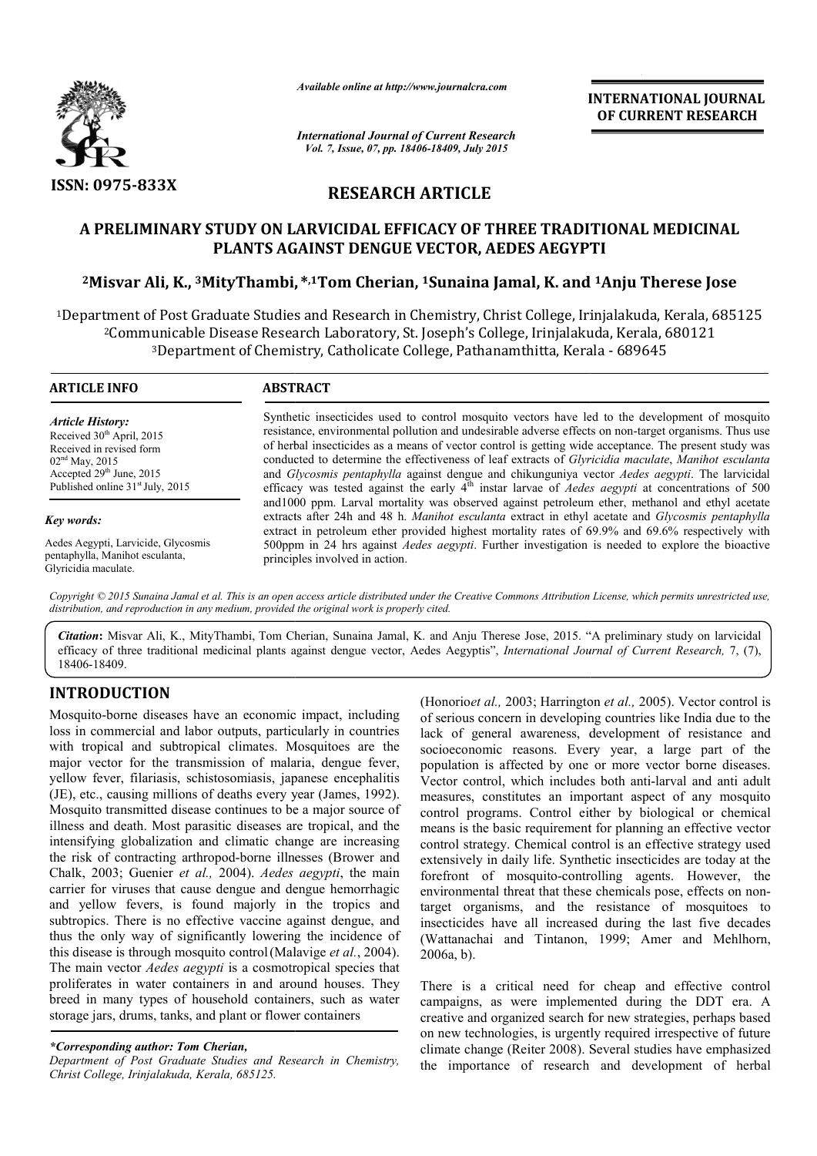

*Available online at http://www.journalcra.com*

*International Journal of Current Research Vol. 7, Issue, 07, pp. 18406-18409, July 2015*

**INTERNATIONAL INTERNATIONAL JOURNAL OF CURRENT RESEARCH** 

# **RESEARCH ARTICLE**

# **A PRELIMINARY STUDY ON LARVICIDAL EFFICACY OF THREE TRADITIONAL MEDICINAL A PRELIMINARY PLANTS AGAINST DENGUE VECTOR, AEDES AEGYPTI**

# **2Misvar Ali, K., 3MityThambi, , \*,1Tom Cherian, 1Sunaina Jamal, K. and 1Anju Therese Jose**

1Department of Post Graduate Studies and Research in Chemistry, Christ College, Irinjalakuda, Kerala, 685125 Department of Post Graduate Studies and Research in Chemistry, Christ College, Irinjalakuda, Kerala, 680121<br>2Communicable Disease Research Laboratory, St. Joseph's College, Irinjalakuda, Kerala, 680121<sup>3</sup>Department of Chem <sup>3</sup>Department of Chemistry, Catholicate College, Pathanamthitta, Kerala

| <b>ARTICLE INFO</b>                                                                                                                                                                     | <b>ABSTRACT</b>                                                                                                                                                                                                                                                                                                                                                                                                                                                                                                                                                                                                                          |  |  |
|-----------------------------------------------------------------------------------------------------------------------------------------------------------------------------------------|------------------------------------------------------------------------------------------------------------------------------------------------------------------------------------------------------------------------------------------------------------------------------------------------------------------------------------------------------------------------------------------------------------------------------------------------------------------------------------------------------------------------------------------------------------------------------------------------------------------------------------------|--|--|
| Article History:<br>Received 30 <sup>th</sup> April, 2015<br>Received in revised form<br>$02nd$ May, 2015<br>Accepted $29th$ June, 2015<br>Published online 31 <sup>st</sup> July, 2015 | Synthetic insecticides used to control mosquito vectors have led to the development of mosquito<br>resistance, environmental pollution and undesirable adverse effects on non-target organisms. Thus use<br>of herbal insecticides as a means of vector control is getting wide acceptance. The present study was<br>conducted to determine the effectiveness of leaf extracts of Glyricidia maculate, Manihot esculanta<br>and Glycosmis pentaphylla against dengue and chikunguniya vector Aedes aegypti. The larvicidal<br>efficacy was tested against the early $4th$ instar larvae of <i>Aedes aegypti</i> at concentrations of 500 |  |  |
| Key words:                                                                                                                                                                              | and 1000 ppm. Larval mortality was observed against petroleum ether, methanol and ethyl acetate<br>extracts after 24h and 48 h. Manihot esculanta extract in ethyl acetate and Glycosmis pentaphylla<br>extract in petroleum ether provided highest mortality rates of 69.9% and 69.6% respectively with                                                                                                                                                                                                                                                                                                                                 |  |  |
| Aedes Aegypti, Larvicide, Glycosmis<br>pentaphylla, Manihot esculanta,<br>Glyricidia maculate.                                                                                          | 500ppm in 24 hrs against <i>Aedes aegypti</i> . Further investigation is needed to explore the bioactive<br>principles involved in action.                                                                                                                                                                                                                                                                                                                                                                                                                                                                                               |  |  |

Copyright © 2015 Sunaina Jamal et al. This is an open access article distributed under the Creative Commons Attribution License, which permits unrestricted use, *distribution, and reproduction in any medium, provided the original work is properly cited.*

Citation: Misvar Ali, K., MityThambi, Tom Cherian, Sunaina Jamal, K. and Anju Therese Jose, 2015. "A preliminary study on larvicidal efficacy of three traditional medicinal plants against dengue vector, Aedes Aegyptis", *International Journal of Current Research*, 7, (7), 18406-18409.

## **INTRODUCTION**

Mosquito-borne diseases have an economic impact, including loss in commercial and labor outputs, particularly in countries with tropical and subtropical climates. Mosquitoes are the major vector for the transmission of malaria, dengue fever, yellow fever, filariasis, schistosomiasis, japanese encephalitis (JE), etc., causing millions of deaths every year (James, 1992). Mosquito transmitted disease continues to be a major source of illness and death. Most parasitic diseases are tropical, and the intensifying globalization and climatic change are increasing the risk of contracting arthropod-borne illnesses (Brower and Chalk, 2003; Guenier *et al.,* 2004). *Aedes aegypti* carrier for viruses that cause dengue and dengue hemorrhagic and yellow fevers, is found majorly in the tropics and subtropics. There is no effective vaccine against dengue, and thus the only way of significantly lowering the incidence of this disease is through mosquito control (Malavige *et al.*, 2004). The main vector *Aedes aegypti* is a cosmotropical species that proliferates in water containers in and around houses. They breed in many types of household containers, such as water storage jars, drums, tanks, and plant or flower containers borne diseases have an economic impact, including mmercial and labor outputs, particularly in countries ical and subtropical climates. Mosquitoes are the tor for the transmission of malaria, dengue fever, ver, filariasis,

### *\*Corresponding author: Tom Cherian,*

*Department of Post Graduate Studies and Research in Chemistry, Christ College, Irinjalakuda, Kerala, 685125.*

(Honorioet al., 2003; Harrington et al., 2005). Vector control is of serious concern in developing countries like India due to the lack of general awareness, development of resistance and socioeconomic reasons. Every year, a large part of the population is affected by one or more vector borne diseases. Vector control, which includes both anti-larval and anti adult measures, constitutes an important aspect of any mosquito control programs. Control either by biological or chemical means is the basic requirement for planning an effective vector control strategy. Chemical control is an effective strategy used control programs. Control either by biological or chemical means is the basic requirement for planning an effective vector control strategy. Chemical control is an effective strategy used extensively in daily life. Synthet forefront of mosquito-controlling agents. However, the forefront of mosquito-controlling agents. However, the environmental threat that these chemicals pose, effects on nontarget organisms, and the resistance of mosquitoes to insecticides have all increased during the last five decades (Wattanachai and Tintanon, 1999; Amer and Mehlhorn, 2006a, b). serious concern in developing countries like India due to the k of general awareness, development of resistance and cioeconomic reasons. Every year, a large part of the pulation is affected by one or more vector borne dise **EXERVATIONAL FOUNDAL (OF CURRENT RESEARCH CHARGE CONTROL)**<br> **OF CURRENT RESEARCH**<br> **CACTOR, AEDES AEGYPTI**<br> **CACTOR, AEDES AEGYPTI**<br> **STANCHIFTED CACTOR**, AEDES AEGYPTI<br> **STANCHIFTED CACTOR**, AEDES AEGYPTI<br> **STANCHIFTED** 

There is a critical need for cheap and effective control campaigns, as were implemented during the DDT era. A creative and organized search for new strategies, perhaps based on new technologies, is urgently required irrespective of future climate change (Reiter 2008). Several studies have emphasized the importance of research and development of herbal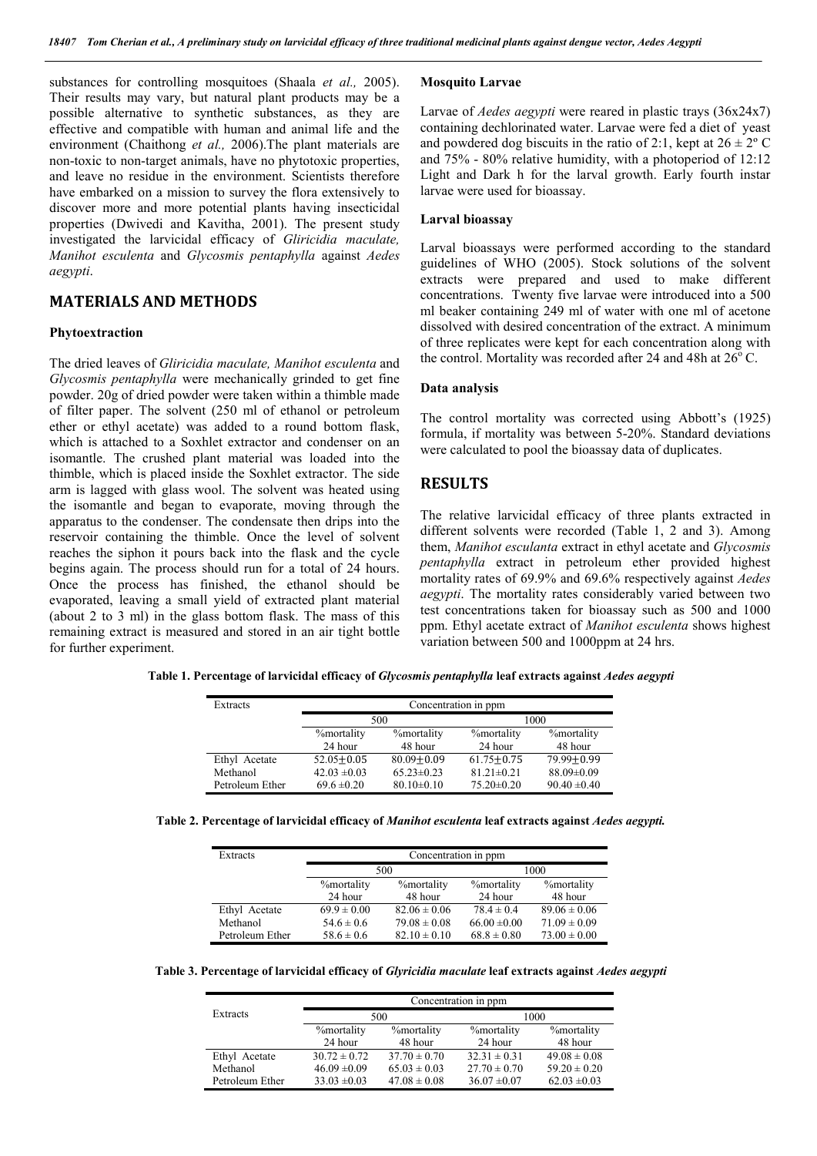substances for controlling mosquitoes (Shaala *et al.,* 2005). Their results may vary, but natural plant products may be a possible alternative to synthetic substances, as they are effective and compatible with human and animal life and the environment (Chaithong *et al.,* 2006).The plant materials are non-toxic to non-target animals, have no phytotoxic properties, and leave no residue in the environment. Scientists therefore have embarked on a mission to survey the flora extensively to discover more and more potential plants having insecticidal properties (Dwivedi and Kavitha, 2001). The present study investigated the larvicidal efficacy of *Gliricidia maculate, Manihot esculenta* and *Glycosmis pentaphylla* against *Aedes aegypti*.

### **MATERIALS AND METHODS**

#### **Phytoextraction**

The dried leaves of *Gliricidia maculate, Manihot esculenta* and *Glycosmis pentaphylla* were mechanically grinded to get fine powder. 20g of dried powder were taken within a thimble made of filter paper. The solvent (250 ml of ethanol or petroleum ether or ethyl acetate) was added to a round bottom flask, which is attached to a Soxhlet extractor and condenser on an isomantle. The crushed plant material was loaded into the thimble, which is placed inside the Soxhlet extractor. The side arm is lagged with glass wool. The solvent was heated using the isomantle and began to evaporate, moving through the apparatus to the condenser. The condensate then drips into the reservoir containing the thimble. Once the level of solvent reaches the siphon it pours back into the flask and the cycle begins again. The process should run for a total of 24 hours. Once the process has finished, the ethanol should be evaporated, leaving a small yield of extracted plant material (about 2 to 3 ml) in the glass bottom flask. The mass of this remaining extract is measured and stored in an air tight bottle for further experiment.

#### **Mosquito Larvae**

Larvae of *Aedes aegypti* were reared in plastic trays (36x24x7) containing dechlorinated water. Larvae were fed a diet of yeast and powdered dog biscuits in the ratio of 2:1, kept at  $26 \pm 2^{\circ}$  C and 75% - 80% relative humidity, with a photoperiod of 12:12 Light and Dark h for the larval growth. Early fourth instar larvae were used for bioassay.

#### **Larval bioassay**

Larval bioassays were performed according to the standard guidelines of WHO (2005). Stock solutions of the solvent extracts were prepared and used to make different concentrations. Twenty five larvae were introduced into a 500 ml beaker containing 249 ml of water with one ml of acetone dissolved with desired concentration of the extract. A minimum of three replicates were kept for each concentration along with the control. Mortality was recorded after 24 and 48h at  $26^{\circ}$  C.

### **Data analysis**

The control mortality was corrected using Abbott's (1925) formula, if mortality was between 5-20%. Standard deviations were calculated to pool the bioassay data of duplicates.

### **RESULTS**

The relative larvicidal efficacy of three plants extracted in different solvents were recorded (Table 1, 2 and 3). Among them, *Manihot esculanta* extract in ethyl acetate and *Glycosmis pentaphylla* extract in petroleum ether provided highest mortality rates of 69.9% and 69.6% respectively against *Aedes aegypti*. The mortality rates considerably varied between two test concentrations taken for bioassay such as 500 and 1000 ppm. Ethyl acetate extract of *Manihot esculenta* shows highest variation between 500 and 1000ppm at 24 hrs.

**Table 1. Percentage of larvicidal efficacy of** *Glycosmis pentaphylla* **leaf extracts against** *Aedes aegypti*

| Extracts        | Concentration in ppm |                    |                    |                    |
|-----------------|----------------------|--------------------|--------------------|--------------------|
|                 | 500                  |                    |                    | 1000               |
|                 | <b>%</b> mortality   | <b>%</b> mortality | <b>%</b> mortality | <b>%</b> mortality |
|                 | 24 hour              | 48 hour            | 24 hour            | 48 hour            |
| Ethyl Acetate   | $52.05 \pm 0.05$     | $80.09 + 0.09$     | $61.75 + 0.75$     | $79.99 + 0.99$     |
| Methanol        | $42.03 \pm 0.03$     | $65.23 \pm 0.23$   | $81.21 \pm 0.21$   | 88.09±0.09         |
| Petroleum Ether | $69.6 \pm 0.20$      | $80.10 \pm 0.10$   | $75.20 \pm 0.20$   | $90.40 \pm 0.40$   |

|  | Table 2. Percentage of larvicidal efficacy of Manihot esculenta leaf extracts against Aedes aegypti. |  |
|--|------------------------------------------------------------------------------------------------------|--|
|  |                                                                                                      |  |

| Extracts        | Concentration in ppm |                    |                    |                    |  |      |
|-----------------|----------------------|--------------------|--------------------|--------------------|--|------|
|                 | 500                  |                    |                    |                    |  | 1000 |
|                 | <b>%mortality</b>    | <b>%</b> mortality | <b>%</b> mortality | <b>%</b> mortality |  |      |
|                 | 24 hour              | 48 hour            | 24 hour            | 48 hour            |  |      |
| Ethyl Acetate   | $69.9 \pm 0.00$      | $82.06 \pm 0.06$   | $78.4 \pm 0.4$     | $89.06 \pm 0.06$   |  |      |
| Methanol        | $54.6 \pm 0.6$       | $79.08 \pm 0.08$   | $66.00 \pm 0.00$   | $71.09 \pm 0.09$   |  |      |
| Petroleum Ether | $58.6 \pm 0.6$       | $82.10 \pm 0.10$   | $68.8 \pm 0.80$    | $73.00 \pm 0.00$   |  |      |

**Table 3. Percentage of larvicidal efficacy of** *Glyricidia maculate* **leaf extracts against** *Aedes aegypti*

|                 | Concentration in ppm |                    |                    |                    |  |
|-----------------|----------------------|--------------------|--------------------|--------------------|--|
| Extracts        | 500                  |                    | 1000               |                    |  |
|                 | <b>%</b> mortality   | <b>%</b> mortality | <b>%</b> mortality | <b>%</b> mortality |  |
|                 | 24 hour              | 48 hour            | 24 hour            | 48 hour            |  |
| Ethyl Acetate   | $30.72 \pm 0.72$     | $37.70 \pm 0.70$   | $32.31 \pm 0.31$   | $49.08 \pm 0.08$   |  |
| Methanol        | $46.09 \pm 0.09$     | $65.03 \pm 0.03$   | $27.70 \pm 0.70$   | $59.20 \pm 0.20$   |  |
| Petroleum Ether | $33.03 \pm 0.03$     | $47.08 \pm 0.08$   | $36.07 \pm 0.07$   | $62.03 \pm 0.03$   |  |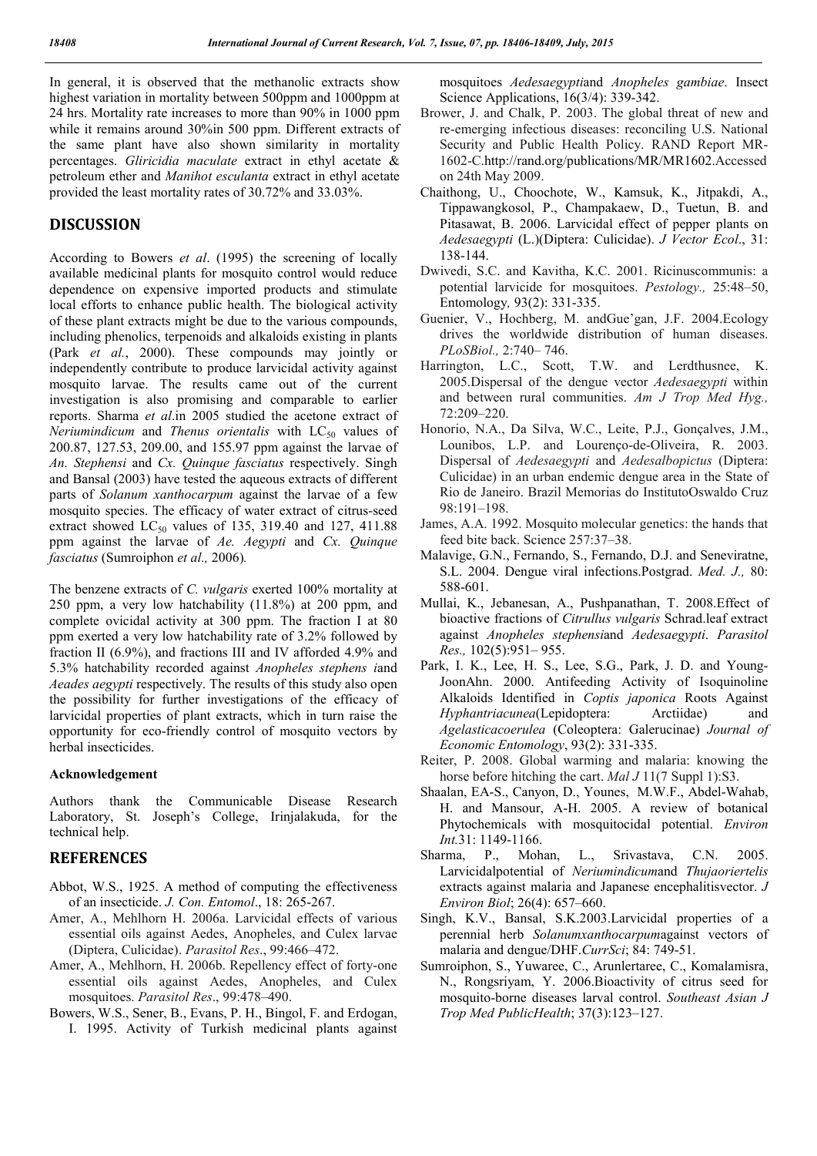In general, it is observed that the methanolic extracts show highest variation in mortality between 500ppm and 1000ppm at 24 hrs. Mortality rate increases to more than 90% in 1000 ppm while it remains around 30%in 500 ppm. Different extracts of the same plant have also shown similarity in mortality percentages. *Gliricidia maculate* extract in ethyl acetate & petroleum ether and *Manihot esculanta* extract in ethyl acetate provided the least mortality rates of 30.72% and 33.03%.

# **DISCUSSION**

According to Bowers *et al*. (1995) the screening of locally available medicinal plants for mosquito control would reduce dependence on expensive imported products and stimulate local efforts to enhance public health. The biological activity of these plant extracts might be due to the various compounds, including phenolics, terpenoids and alkaloids existing in plants (Park *et al.*, 2000). These compounds may jointly or independently contribute to produce larvicidal activity against mosquito larvae. The results came out of the current investigation is also promising and comparable to earlier reports. Sharma *et al*.in 2005 studied the acetone extract of *Neriumindicum* and *Thenus orientalis* with LC<sub>50</sub> values of 200.87, 127.53, 209.00, and 155.97 ppm against the larvae of *An. Stephensi* and *Cx. Quinque fasciatus* respectively. Singh and Bansal (2003) have tested the aqueous extracts of different parts of *Solanum xanthocarpum* against the larvae of a few mosquito species. The efficacy of water extract of citrus-seed extract showed  $LC_{50}$  values of 135, 319.40 and 127, 411.88 ppm against the larvae of *Ae. Aegypti* and *Cx. Quinque fasciatus* (Sumroiphon *et al.,* 2006)*.*

The benzene extracts of *C. vulgaris* exerted 100% mortality at 250 ppm, a very low hatchability (11.8%) at 200 ppm, and complete ovicidal activity at 300 ppm. The fraction I at 80 ppm exerted a very low hatchability rate of 3.2% followed by fraction II (6.9%), and fractions III and IV afforded 4.9% and 5.3% hatchability recorded against *Anopheles stephens i*and *Aeades aegypti* respectively. The results of this study also open the possibility for further investigations of the efficacy of larvicidal properties of plant extracts, which in turn raise the opportunity for eco-friendly control of mosquito vectors by herbal insecticides.

### **Acknowledgement**

Authors thank the Communicable Disease Research Laboratory, St. Joseph's College, Irinjalakuda, for the technical help.

## **REFERENCES**

- Abbot, W.S., 1925. A method of computing the effectiveness of an insecticide. *J. Con. Entomol*., 18: 265-267.
- Amer, A., Mehlhorn H. 2006a. Larvicidal effects of various essential oils against Aedes, Anopheles, and Culex larvae (Diptera, Culicidae). *Parasitol Res*., 99:466–472.
- Amer, A., Mehlhorn, H. 2006b. Repellency effect of forty-one essential oils against Aedes, Anopheles, and Culex mosquitoes. *Parasitol Res*., 99:478–490.
- Bowers, W.S., Sener, B., Evans, P. H., Bingol, F. and Erdogan, I. 1995. Activity of Turkish medicinal plants against

mosquitoes *Aedesaegypti*and *Anopheles gambiae*. Insect Science Applications, 16(3/4): 339-342.

- Brower, J. and Chalk, P. 2003. The global threat of new and re-emerging infectious diseases: reconciling U.S. National Security and Public Health Policy. RAND Report MR-1602-C.http://rand.org/publications/MR/MR1602.Accessed on 24th May 2009.
- Chaithong, U., Choochote, W., Kamsuk, K., Jitpakdi, A., Tippawangkosol, P., Champakaew, D., Tuetun, B. and Pitasawat, B. 2006. Larvicidal effect of pepper plants on *Aedesaegypti* (L.)(Diptera: Culicidae). *J Vector Ecol*., 31: 138-144.
- Dwivedi, S.C. and Kavitha, K.C. 2001. Ricinuscommunis: a potential larvicide for mosquitoes. *Pestology.,* 25:48–50, Entomology*,* 93(2): 331-335.
- Guenier, V., Hochberg, M. andGue'gan, J.F. 2004.Ecology drives the worldwide distribution of human diseases. *PLoSBiol.,* 2:740– 746.
- Harrington, L.C., Scott, T.W. and Lerdthusnee, K. 2005.Dispersal of the dengue vector *Aedesaegypti* within and between rural communities. *Am J Trop Med Hyg.,* 72:209–220.
- Honorio, N.A., Da Silva, W.C., Leite, P.J., Gonçalves, J.M., Lounibos, L.P. and Lourenço-de-Oliveira, R. 2003. Dispersal of *Aedesaegypti* and *Aedesalbopictus* (Diptera: Culicidae) in an urban endemic dengue area in the State of Rio de Janeiro. Brazil Memorias do InstitutoOswaldo Cruz 98:191–198.
- James, A.A. 1992. Mosquito molecular genetics: the hands that feed bite back. Science 257:37–38.
- Malavige, G.N., Fernando, S., Fernando, D.J. and Seneviratne, S.L. 2004. Dengue viral infections.Postgrad. *Med. J.,* 80: 588-601.
- Mullai, K., Jebanesan, A., Pushpanathan, T. 2008.Effect of bioactive fractions of *Citrullus vulgaris* Schrad.leaf extract against *Anopheles stephensi*and *Aedesaegypti*. *Parasitol Res.,* 102(5):951– 955.
- Park, I. K., Lee, H. S., Lee, S.G., Park, J. D. and Young-JoonAhn. 2000. Antifeeding Activity of Isoquinoline Alkaloids Identified in *Coptis japonica* Roots Against *Hyphantriacunea*(Lepidoptera: Arctiidae) and *Agelasticacoerulea* (Coleoptera: Galerucinae) *Journal of Economic Entomology*, 93(2): 331-335.
- Reiter, P. 2008. Global warming and malaria: knowing the horse before hitching the cart. *Mal J* 11(7 Suppl 1):S3.
- Shaalan, EA-S., Canyon, D., Younes, M.W.F., Abdel-Wahab, H. and Mansour, A-H. 2005. A review of botanical Phytochemicals with mosquitocidal potential. *Environ Int.*31: 1149-1166.
- Sharma, P., Mohan, L., Srivastava, C.N. 2005. Larvicidalpotential of *Neriumindicum*and *Thujaoriertelis* extracts against malaria and Japanese encephalitisvector. *J Environ Biol*; 26(4): 657–660.
- Singh, K.V., Bansal, S.K.2003.Larvicidal properties of a perennial herb *Solanumxanthocarpum*against vectors of malaria and dengue/DHF.*CurrSci*; 84: 749-51.
- Sumroiphon, S., Yuwaree, C., Arunlertaree, C., Komalamisra, N., Rongsriyam, Y. 2006.Bioactivity of citrus seed for mosquito-borne diseases larval control. *Southeast Asian J Trop Med PublicHealth*; 37(3):123–127.